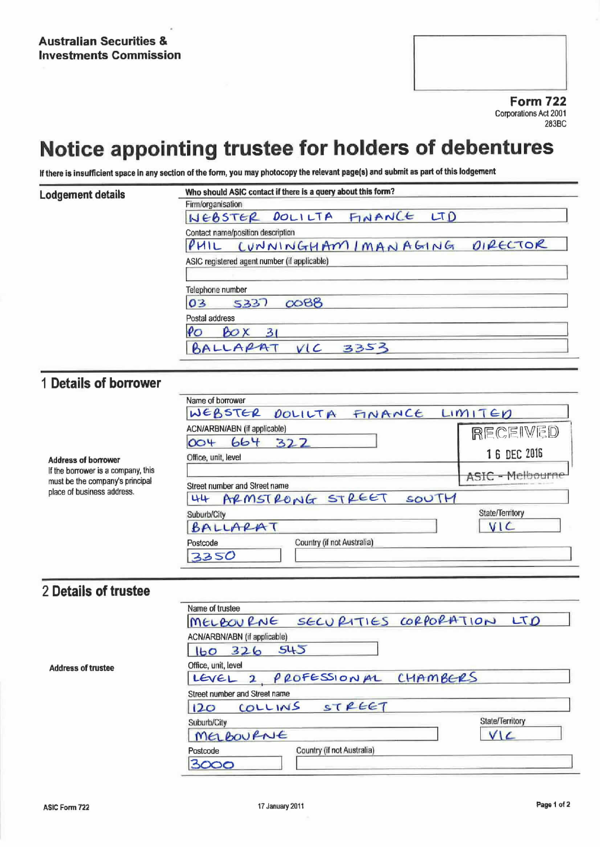**Form 722 Corporations Act 2001** 283BC

# Notice appointing trustee for holders of debentures

If there is insufficient space in any section of the form, you may photocopy the relevant page(s) and submit as part of this lodgement

| Lodgement details | Who should ASIC contact if there is a query about this form? |  |  |  |
|-------------------|--------------------------------------------------------------|--|--|--|
|                   | Firm/organisation                                            |  |  |  |
|                   | NEBSTER DOLILTA FINANCE LTD                                  |  |  |  |
|                   | Contact name/position description                            |  |  |  |
|                   | PHIL CUNNINGHAM IMANAGING DIRECTOR                           |  |  |  |
|                   | ASIC registered agent number (if applicable)                 |  |  |  |
|                   | Telephone number                                             |  |  |  |
|                   | $\infty$ 88<br>5337<br>03                                    |  |  |  |
|                   | Postal address                                               |  |  |  |
|                   | $\rho_{O}$<br>$\mathcal{B} \circ \mathsf{X}$<br>31           |  |  |  |
|                   | BALLARAT VIC<br>3353                                         |  |  |  |

## 1 Details of borrower

|                                                                                                                                   | Name of borrower                       |                  |  |
|-----------------------------------------------------------------------------------------------------------------------------------|----------------------------------------|------------------|--|
| <b>Address of borrower</b><br>If the borrower is a company, this<br>must be the company's principal<br>place of business address. | WEBSTER DOLILTA FINANCE LIMITED        |                  |  |
|                                                                                                                                   | ACN/ARBN/ABN (if applicable)           | RECEIVED         |  |
|                                                                                                                                   | 664<br>322<br>004                      |                  |  |
|                                                                                                                                   | Office, unit, level                    | 16 DEC 2016      |  |
|                                                                                                                                   |                                        | ASIC - Melbourne |  |
|                                                                                                                                   | Street number and Street name          |                  |  |
|                                                                                                                                   | 44 ARMSTRONG STREET<br>SOUTH           |                  |  |
|                                                                                                                                   | Suburb/City                            | State/Territory  |  |
|                                                                                                                                   | BALLARAT                               | VIC              |  |
|                                                                                                                                   | Country (if not Australia)<br>Postcode |                  |  |
|                                                                                                                                   | 3350                                   |                  |  |

### 2 Details of trustee

|                           | Name of trustee                        |                 |
|---------------------------|----------------------------------------|-----------------|
|                           | MELBOURNE SECURITIES CORPORATION LTD   |                 |
|                           | ACN/ARBN/ABN (if applicable)           |                 |
|                           | 160, 326, 545                          |                 |
| <b>Address of trustee</b> | Office, unit, level                    |                 |
|                           | LEVEL 2 PROFESSIONAL CHAMBERS          |                 |
|                           | Street number and Street name          |                 |
|                           | COLLINS STREET<br>120                  |                 |
|                           | Suburb/City                            | State/Territory |
|                           | MELBOURNE                              | VIC             |
|                           | Country (if not Australia)<br>Postcode |                 |
|                           | 3000                                   |                 |